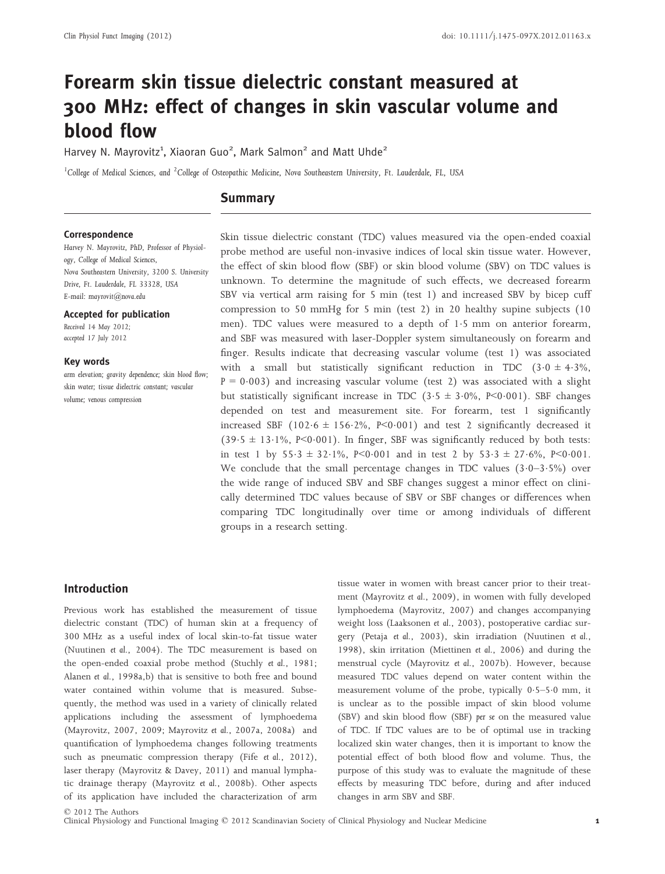# Forearm skin tissue dielectric constant measured at 300 MHz: effect of changes in skin vascular volume and blood flow

Harvey N. Mayrovitz<sup>1</sup>, Xiaoran Guo<sup>2</sup>, Mark Salmon<sup>2</sup> and Matt Uhde<sup>2</sup>

 $1$ College of Medical Sciences, and  $2$ College of Osteopathic Medicine, Nova Southeastern University, Ft. Lauderdale, FL, USA

## **Summary**

#### Correspondence

Harvey N. Mayrovitz, PhD, Professor of Physiology, College of Medical Sciences, Nova Southeastern University, 3200 S. University Drive, Ft. Lauderdale, FL 33328, USA E-mail: mayrovit@nova.edu

#### Accepted for publication

Received 14 May 2012; accepted 17 July 2012

#### Key words

arm elevation; gravity dependence; skin blood flow; skin water; tissue dielectric constant; vascular volume; venous compression

Skin tissue dielectric constant (TDC) values measured via the open-ended coaxial probe method are useful non-invasive indices of local skin tissue water. However, the effect of skin blood flow (SBF) or skin blood volume (SBV) on TDC values is unknown. To determine the magnitude of such effects, we decreased forearm SBV via vertical arm raising for 5 min (test 1) and increased SBV by bicep cuff compression to 50 mmHg for 5 min (test 2) in 20 healthy supine subjects (10 men). TDC values were measured to a depth of 15 mm on anterior forearm, and SBF was measured with laser-Doppler system simultaneously on forearm and finger. Results indicate that decreasing vascular volume (test 1) was associated with a small but statistically significant reduction in TDC  $(3.0 \pm 4.3\%$ ,  $P = 0.003$ ) and increasing vascular volume (test 2) was associated with a slight but statistically significant increase in TDC  $(3.5 \pm 3.0\%, P<0.001)$ . SBF changes depended on test and measurement site. For forearm, test 1 significantly increased SBF (102.6  $\pm$  156.2%, P<0.001) and test 2 significantly decreased it  $(39.5 \pm 13.1\%)$ , P<0.001). In finger, SBF was significantly reduced by both tests: in test 1 by  $55.3 \pm 32.1\%$ , P<0.001 and in test 2 by  $53.3 \pm 27.6\%$ , P<0.001. We conclude that the small percentage changes in TDC values  $(3.0-3.5%)$  over the wide range of induced SBV and SBF changes suggest a minor effect on clinically determined TDC values because of SBV or SBF changes or differences when comparing TDC longitudinally over time or among individuals of different groups in a research setting.

# Introduction

Previous work has established the measurement of tissue dielectric constant (TDC) of human skin at a frequency of 300 MHz as a useful index of local skin-to-fat tissue water (Nuutinen et al., 2004). The TDC measurement is based on the open-ended coaxial probe method (Stuchly et al., 1981; Alanen et al., 1998a,b) that is sensitive to both free and bound water contained within volume that is measured. Subsequently, the method was used in a variety of clinically related applications including the assessment of lymphoedema (Mayrovitz, 2007, 2009; Mayrovitz et al., 2007a, 2008a) and quantification of lymphoedema changes following treatments such as pneumatic compression therapy (Fife et al., 2012), laser therapy (Mayrovitz & Davey, 2011) and manual lymphatic drainage therapy (Mayrovitz et al., 2008b). Other aspects of its application have included the characterization of arm tissue water in women with breast cancer prior to their treatment (Mayrovitz et al., 2009), in women with fully developed lymphoedema (Mayrovitz, 2007) and changes accompanying weight loss (Laaksonen et al., 2003), postoperative cardiac surgery (Petaja et al., 2003), skin irradiation (Nuutinen et al., 1998), skin irritation (Miettinen et al., 2006) and during the menstrual cycle (Mayrovitz et al., 2007b). However, because measured TDC values depend on water content within the measurement volume of the probe, typically  $0.5-5.0$  mm, it is unclear as to the possible impact of skin blood volume (SBV) and skin blood flow (SBF) per se on the measured value of TDC. If TDC values are to be of optimal use in tracking localized skin water changes, then it is important to know the potential effect of both blood flow and volume. Thus, the purpose of this study was to evaluate the magnitude of these effects by measuring TDC before, during and after induced changes in arm SBV and SBF.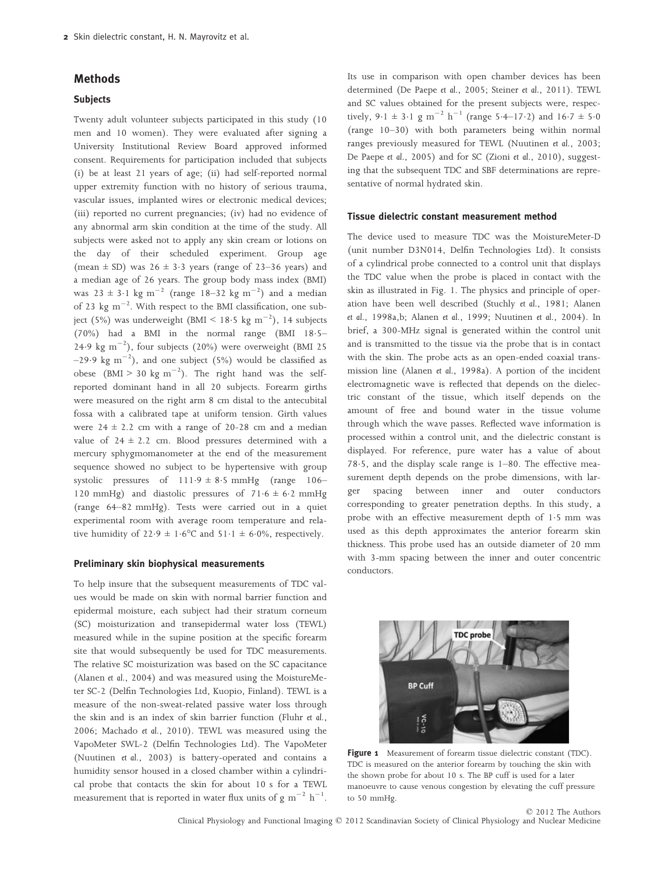# Methods

# **Subjects**

Twenty adult volunteer subjects participated in this study (10 men and 10 women). They were evaluated after signing a University Institutional Review Board approved informed consent. Requirements for participation included that subjects (i) be at least 21 years of age; (ii) had self-reported normal upper extremity function with no history of serious trauma, vascular issues, implanted wires or electronic medical devices; (iii) reported no current pregnancies; (iv) had no evidence of any abnormal arm skin condition at the time of the study. All subjects were asked not to apply any skin cream or lotions on the day of their scheduled experiment. Group age (mean  $\pm$  SD) was 26  $\pm$  3.3 years (range of 23–36 years) and a median age of 26 years. The group body mass index (BMI) was  $23 \pm 3.1$  kg m<sup>-2</sup> (range 18–32 kg m<sup>-2</sup>) and a median of 23 kg  $\text{m}^{-2}$ . With respect to the BMI classification, one subject (5%) was underweight (BMI <  $18.5 \text{ kg m}^{-2}$ ), 14 subjects (70%) had a BMI in the normal range (BMI 185– 24.9 kg  $m^{-2}$ ), four subjects (20%) were overweight (BMI 25  $(-29.9 \text{ kg m}^{-2})$ , and one subject (5%) would be classified as obese (BMI > 30 kg m<sup>-2</sup>). The right hand was the selfreported dominant hand in all 20 subjects. Forearm girths were measured on the right arm 8 cm distal to the antecubital fossa with a calibrated tape at uniform tension. Girth values were  $24 \pm 2.2$  cm with a range of 20-28 cm and a median value of  $24 \pm 2.2$  cm. Blood pressures determined with a mercury sphygmomanometer at the end of the measurement sequence showed no subject to be hypertensive with group systolic pressures of  $111.9 \pm 8.5$  mmHg (range 106– 120 mmHg) and diastolic pressures of  $71.6 \pm 6.2$  mmHg (range 64–82 mmHg). Tests were carried out in a quiet experimental room with average room temperature and relative humidity of  $22.9 \pm 1.6^{\circ}$ C and  $51.1 \pm 6.0\%$ , respectively.

#### Preliminary skin biophysical measurements

To help insure that the subsequent measurements of TDC values would be made on skin with normal barrier function and epidermal moisture, each subject had their stratum corneum (SC) moisturization and transepidermal water loss (TEWL) measured while in the supine position at the specific forearm site that would subsequently be used for TDC measurements. The relative SC moisturization was based on the SC capacitance (Alanen et al., 2004) and was measured using the MoistureMeter SC-2 (Delfin Technologies Ltd, Kuopio, Finland). TEWL is a measure of the non-sweat-related passive water loss through the skin and is an index of skin barrier function (Fluhr et al., 2006; Machado et al., 2010). TEWL was measured using the VapoMeter SWL-2 (Delfin Technologies Ltd). The VapoMeter (Nuutinen et al., 2003) is battery-operated and contains a humidity sensor housed in a closed chamber within a cylindrical probe that contacts the skin for about 10 s for a TEWL measurement that is reported in water flux units of  $g \text{ m}^{-2} \text{ h}^{-1}$ .

Its use in comparison with open chamber devices has been determined (De Paepe et al., 2005; Steiner et al., 2011). TEWL and SC values obtained for the present subjects were, respectively,  $9.1 \pm 3.1$  g m<sup>-2</sup> h<sup>-1</sup> (range 5.4–17.2) and  $16.7 \pm 5.0$ (range 10–30) with both parameters being within normal ranges previously measured for TEWL (Nuutinen et al., 2003; De Paepe et al., 2005) and for SC (Zioni et al., 2010), suggesting that the subsequent TDC and SBF determinations are representative of normal hydrated skin.

#### Tissue dielectric constant measurement method

The device used to measure TDC was the MoistureMeter-D (unit number D3N014, Delfin Technologies Ltd). It consists of a cylindrical probe connected to a control unit that displays the TDC value when the probe is placed in contact with the skin as illustrated in Fig. 1. The physics and principle of operation have been well described (Stuchly et al., 1981; Alanen et al., 1998a,b; Alanen et al., 1999; Nuutinen et al., 2004). In brief, a 300-MHz signal is generated within the control unit and is transmitted to the tissue via the probe that is in contact with the skin. The probe acts as an open-ended coaxial transmission line (Alanen et al., 1998a). A portion of the incident electromagnetic wave is reflected that depends on the dielectric constant of the tissue, which itself depends on the amount of free and bound water in the tissue volume through which the wave passes. Reflected wave information is processed within a control unit, and the dielectric constant is displayed. For reference, pure water has a value of about 78.5, and the display scale range is  $1-80$ . The effective measurement depth depends on the probe dimensions, with larger spacing between inner and outer conductors corresponding to greater penetration depths. In this study, a probe with an effective measurement depth of 1.5 mm was used as this depth approximates the anterior forearm skin thickness. This probe used has an outside diameter of 20 mm with 3-mm spacing between the inner and outer concentric conductors.



Figure 1 Measurement of forearm tissue dielectric constant (TDC). TDC is measured on the anterior forearm by touching the skin with the shown probe for about 10 s. The BP cuff is used for a later manoeuvre to cause venous congestion by elevating the cuff pressure to 50 mmHg.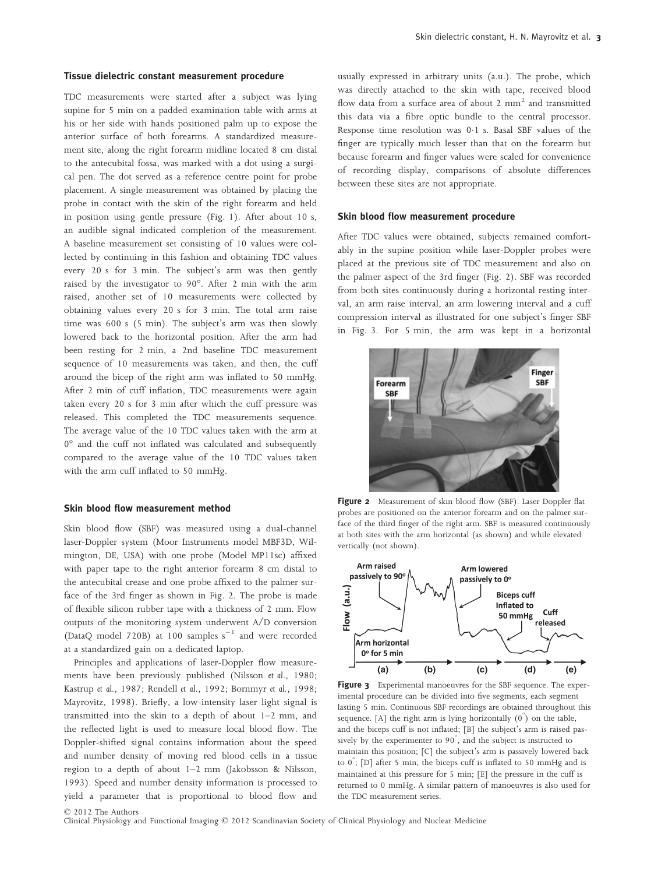#### Tissue dielectric constant measurement procedure

TDC measurements were started after a subject was lying supine for 5 min on a padded examination table with arms at his or her side with hands positioned palm up to expose the anterior surface of both forearms. A standardized measurement site, along the right forearm midline located 8 cm distal to the antecubital fossa, was marked with a dot using a surgical pen. The dot served as a reference centre point for probe placement. A single measurement was obtained by placing the probe in contact with the skin of the right forearm and held in position using gentle pressure (Fig. 1). After about 10 s, an audible signal indicated completion of the measurement. A baseline measurement set consisting of 10 values were collected by continuing in this fashion and obtaining TDC values every 20 s for 3 min. The subject's arm was then gently raised by the investigator to 90°. After 2 min with the arm raised, another set of 10 measurements were collected by obtaining values every 20 s for 3 min. The total arm raise time was 600 s (5 min). The subject's arm was then slowly lowered back to the horizontal position. After the arm had been resting for 2 min, a 2nd baseline TDC measurement sequence of 10 measurements was taken, and then, the cuff around the bicep of the right arm was inflated to 50 mmHg. After 2 min of cuff inflation, TDC measurements were again taken every 20 s for 3 min after which the cuff pressure was released. This completed the TDC measurements sequence. The average value of the 10 TDC values taken with the arm at 0° and the cuff not inflated was calculated and subsequently compared to the average value of the 10 TDC values taken with the arm cuff inflated to 50 mmHg.

#### Skin blood flow measurement method

Skin blood flow (SBF) was measured using a dual-channel laser-Doppler system (Moor Instruments model MBF3D, Wilmington, DE, USA) with one probe (Model MP11sc) affixed with paper tape to the right anterior forearm 8 cm distal to the antecubital crease and one probe affixed to the palmer surface of the 3rd finger as shown in Fig. 2. The probe is made of flexible silicon rubber tape with a thickness of 2 mm. Flow outputs of the monitoring system underwent A/D conversion (DataQ model 720B) at 100 samples  $s^{-1}$  and were recorded at a standardized gain on a dedicated laptop.

Principles and applications of laser-Doppler flow measurements have been previously published (Nilsson et al., 1980; Kastrup et al., 1987; Rendell et al., 1992; Bornmyr et al., 1998; Mayrovitz, 1998). Briefly, a low-intensity laser light signal is transmitted into the skin to a depth of about 1–2 mm, and the reflected light is used to measure local blood flow. The Doppler-shifted signal contains information about the speed and number density of moving red blood cells in a tissue region to a depth of about 1–2 mm (Jakobsson & Nilsson, 1993). Speed and number density information is processed to yield a parameter that is proportional to blood flow and usually expressed in arbitrary units (a.u.). The probe, which was directly attached to the skin with tape, received blood flow data from a surface area of about 2  $mm<sup>2</sup>$  and transmitted this data via a fibre optic bundle to the central processor. Response time resolution was 0.1 s. Basal SBF values of the finger are typically much lesser than that on the forearm but because forearm and finger values were scaled for convenience of recording display, comparisons of absolute differences between these sites are not appropriate.

#### Skin blood flow measurement procedure

After TDC values were obtained, subjects remained comfortably in the supine position while laser-Doppler probes were placed at the previous site of TDC measurement and also on the palmer aspect of the 3rd finger (Fig. 2). SBF was recorded from both sites continuously during a horizontal resting interval, an arm raise interval, an arm lowering interval and a cuff compression interval as illustrated for one subject's finger SBF in Fig. 3. For 5 min, the arm was kept in a horizontal



Figure 2 Measurement of skin blood flow (SBF). Laser Doppler flat probes are positioned on the anterior forearm and on the palmer surface of the third finger of the right arm. SBF is measured continuously at both sites with the arm horizontal (as shown) and while elevated vertically (not shown).



Figure 3 Experimental manoeuvres for the SBF sequence. The experimental procedure can be divided into five segments, each segment lasting 5 min. Continuous SBF recordings are obtained throughout this sequence. [A] the right arm is lying horizontally  $(0^{\degree})$  on the table, and the biceps cuff is not inflated; [B] the subject's arm is raised passively by the experimenter to 90° , and the subject is instructed to maintain this position; [C] the subject's arm is passively lowered back to 0° ; [D] after 5 min, the biceps cuff is inflated to 50 mmHg and is maintained at this pressure for 5 min; [E] the pressure in the cuff is returned to 0 mmHg. A similar pattern of manoeuvres is also used for the TDC measurement series.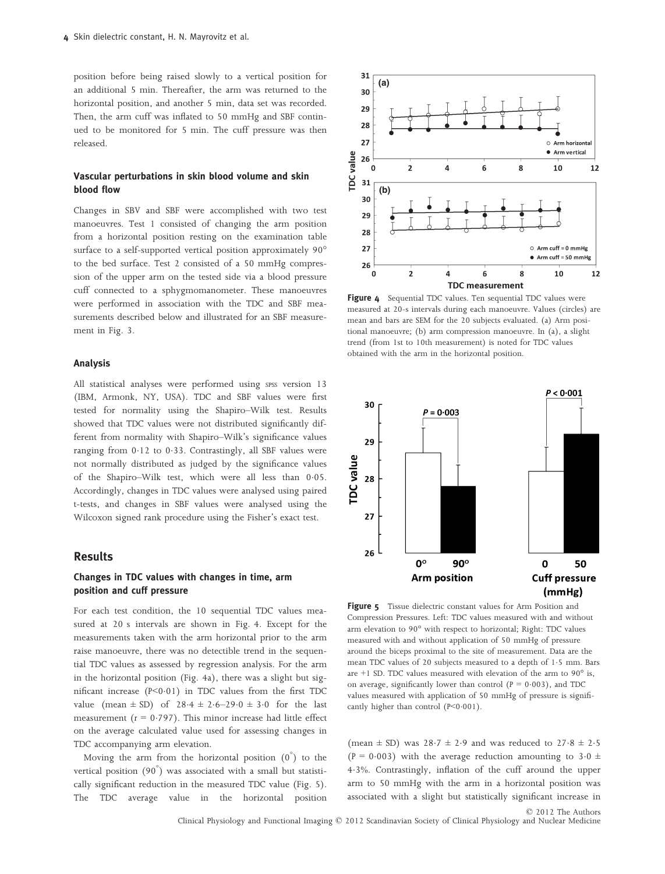position before being raised slowly to a vertical position for an additional 5 min. Thereafter, the arm was returned to the horizontal position, and another 5 min, data set was recorded. Then, the arm cuff was inflated to 50 mmHg and SBF continued to be monitored for 5 min. The cuff pressure was then released.

## Vascular perturbations in skin blood volume and skin blood flow

Changes in SBV and SBF were accomplished with two test manoeuvres. Test 1 consisted of changing the arm position from a horizontal position resting on the examination table surface to a self-supported vertical position approximately 90° to the bed surface. Test 2 consisted of a 50 mmHg compression of the upper arm on the tested side via a blood pressure cuff connected to a sphygmomanometer. These manoeuvres were performed in association with the TDC and SBF measurements described below and illustrated for an SBF measurement in Fig. 3.

### Analysis

All statistical analyses were performed using spss version 13 (IBM, Armonk, NY, USA). TDC and SBF values were first tested for normality using the Shapiro–Wilk test. Results showed that TDC values were not distributed significantly different from normality with Shapiro–Wilk's significance values ranging from 012 to 033. Contrastingly, all SBF values were not normally distributed as judged by the significance values of the Shapiro–Wilk test, which were all less than 0.05. Accordingly, changes in TDC values were analysed using paired t-tests, and changes in SBF values were analysed using the Wilcoxon signed rank procedure using the Fisher's exact test.

## Results

## Changes in TDC values with changes in time, arm position and cuff pressure

For each test condition, the 10 sequential TDC values measured at 20 s intervals are shown in Fig. 4. Except for the measurements taken with the arm horizontal prior to the arm raise manoeuvre, there was no detectible trend in the sequential TDC values as assessed by regression analysis. For the arm in the horizontal position (Fig. 4a), there was a slight but significant increase  $(P<0.01)$  in TDC values from the first TDC value (mean  $\pm$  SD) of 28.4  $\pm$  2.6–29.0  $\pm$  3.0 for the last measurement ( $r = 0.797$ ). This minor increase had little effect on the average calculated value used for assessing changes in TDC accompanying arm elevation.

Moving the arm from the horizontal position  $(0^{\degree})$  to the vertical position (90° ) was associated with a small but statistically significant reduction in the measured TDC value (Fig. 5). The TDC average value in the horizontal position



Figure 4 Sequential TDC values. Ten sequential TDC values were measured at 20-s intervals during each manoeuvre. Values (circles) are mean and bars are SEM for the 20 subjects evaluated. (a) Arm positional manoeuvre; (b) arm compression manoeuvre. In (a), a slight trend (from 1st to 10th measurement) is noted for TDC values obtained with the arm in the horizontal position.



Figure 5 Tissue dielectric constant values for Arm Position and Compression Pressures. Left: TDC values measured with and without arm elevation to 90° with respect to horizontal; Right: TDC values measured with and without application of 50 mmHg of pressure around the biceps proximal to the site of measurement. Data are the mean TDC values of 20 subjects measured to a depth of 1.5 mm. Bars are  $+1$  SD. TDC values measured with elevation of the arm to  $90^\circ$  is, on average, significantly lower than control ( $P = 0.003$ ), and TDC values measured with application of 50 mmHg of pressure is significantly higher than control  $(P<0.001)$ .

(mean  $\pm$  SD) was 28.7  $\pm$  2.9 and was reduced to 27.8  $\pm$  2.5 (P = 0.003) with the average reduction amounting to  $3.0 \pm$ 43%. Contrastingly, inflation of the cuff around the upper arm to 50 mmHg with the arm in a horizontal position was associated with a slight but statistically significant increase in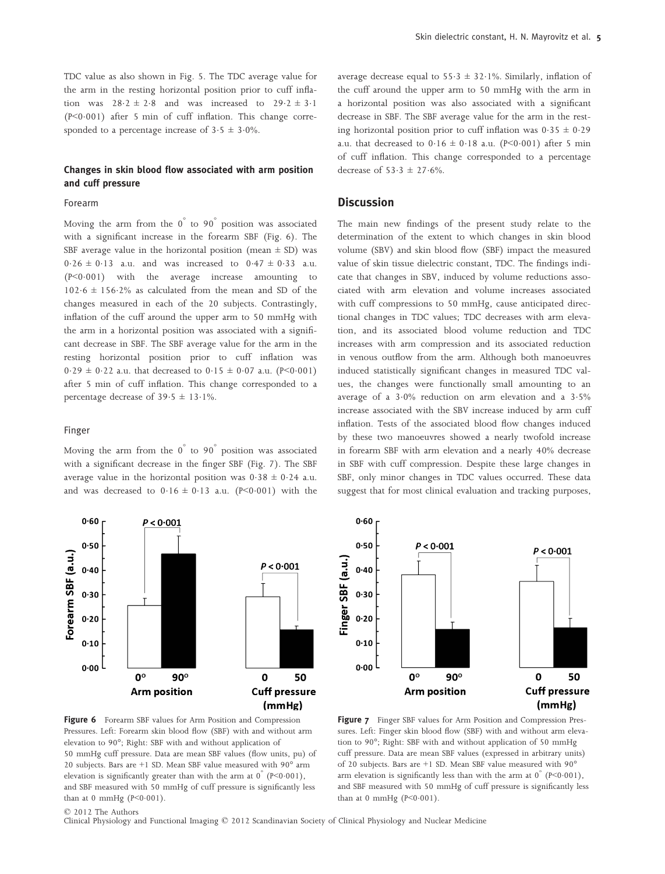TDC value as also shown in Fig. 5. The TDC average value for the arm in the resting horizontal position prior to cuff inflation was  $28.2 \pm 2.8$  and was increased to  $29.2 \pm 3.1$ ( $P < 0.001$ ) after 5 min of cuff inflation. This change corresponded to a percentage increase of  $3.5 \pm 3.0\%$ .

## Changes in skin blood flow associated with arm position and cuff pressure

#### Forearm

Moving the arm from the  $0^{\degree}$  to  $90^{\degree}$  position was associated with a significant increase in the forearm SBF (Fig. 6). The SBF average value in the horizontal position (mean  $\pm$  SD) was  $0.26 \pm 0.13$  a.u. and was increased to  $0.47 \pm 0.33$  a.u.  $(P<0.001)$  with the average increase amounting to  $102.6 \pm 156.2\%$  as calculated from the mean and SD of the changes measured in each of the 20 subjects. Contrastingly, inflation of the cuff around the upper arm to 50 mmHg with the arm in a horizontal position was associated with a significant decrease in SBF. The SBF average value for the arm in the resting horizontal position prior to cuff inflation was  $0.29 \pm 0.22$  a.u. that decreased to  $0.15 \pm 0.07$  a.u. (P<0.001) after 5 min of cuff inflation. This change corresponded to a percentage decrease of  $39.5 \pm 13.1\%$ .

#### Finger

Moving the arm from the 0° to 90° position was associated with a significant decrease in the finger SBF (Fig. 7). The SBF average value in the horizontal position was  $0.38 \pm 0.24$  a.u. and was decreased to  $0.16 \pm 0.13$  a.u. (P<0.001) with the



average decrease equal to  $55.3 \pm 32.1\%$ . Similarly, inflation of the cuff around the upper arm to 50 mmHg with the arm in a horizontal position was also associated with a significant decrease in SBF. The SBF average value for the arm in the resting horizontal position prior to cuff inflation was  $0.35 \pm 0.29$ a.u. that decreased to  $0.16 \pm 0.18$  a.u. (P<0.001) after 5 min of cuff inflation. This change corresponded to a percentage decrease of  $53.3 \pm 27.6\%$ .

# **Discussion**

The main new findings of the present study relate to the determination of the extent to which changes in skin blood volume (SBV) and skin blood flow (SBF) impact the measured value of skin tissue dielectric constant, TDC. The findings indicate that changes in SBV, induced by volume reductions associated with arm elevation and volume increases associated with cuff compressions to 50 mmHg, cause anticipated directional changes in TDC values; TDC decreases with arm elevation, and its associated blood volume reduction and TDC increases with arm compression and its associated reduction in venous outflow from the arm. Although both manoeuvres induced statistically significant changes in measured TDC values, the changes were functionally small amounting to an average of a  $3.0\%$  reduction on arm elevation and a  $3.5\%$ increase associated with the SBV increase induced by arm cuff inflation. Tests of the associated blood flow changes induced by these two manoeuvres showed a nearly twofold increase in forearm SBF with arm elevation and a nearly 40% decrease in SBF with cuff compression. Despite these large changes in SBF, only minor changes in TDC values occurred. These data suggest that for most clinical evaluation and tracking purposes,



Figure 7 Finger SBF values for Arm Position and Compression Pressures. Left: Finger skin blood flow (SBF) with and without arm elevation to 90°; Right: SBF with and without application of 50 mmHg cuff pressure. Data are mean SBF values (expressed in arbitrary units) of 20 subjects. Bars are +1 SD. Mean SBF value measured with 90° arm elevation is significantly less than with the arm at  $0^{6}$  (P<0.001), and SBF measured with 50 mmHg of cuff pressure is significantly less than at 0 mmHg  $(P<0.001)$ .

© 2012 The Authors

Clinical Physiology and Functional Imaging © 2012 Scandinavian Society of Clinical Physiology and Nuclear Medicine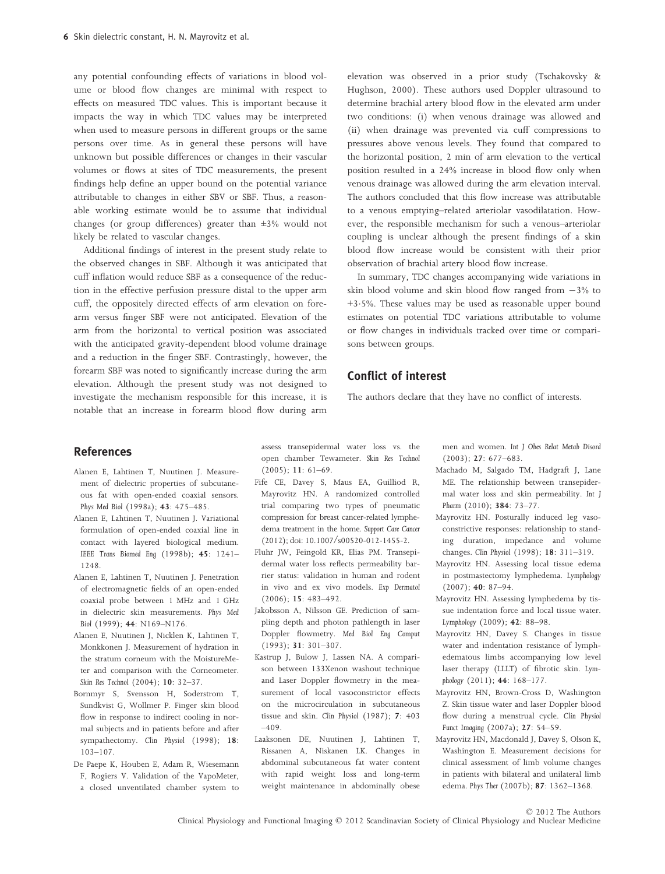any potential confounding effects of variations in blood volume or blood flow changes are minimal with respect to effects on measured TDC values. This is important because it impacts the way in which TDC values may be interpreted when used to measure persons in different groups or the same persons over time. As in general these persons will have unknown but possible differences or changes in their vascular volumes or flows at sites of TDC measurements, the present findings help define an upper bound on the potential variance attributable to changes in either SBV or SBF. Thus, a reasonable working estimate would be to assume that individual changes (or group differences) greater than ±3% would not likely be related to vascular changes.

Additional findings of interest in the present study relate to the observed changes in SBF. Although it was anticipated that cuff inflation would reduce SBF as a consequence of the reduction in the effective perfusion pressure distal to the upper arm cuff, the oppositely directed effects of arm elevation on forearm versus finger SBF were not anticipated. Elevation of the arm from the horizontal to vertical position was associated with the anticipated gravity-dependent blood volume drainage and a reduction in the finger SBF. Contrastingly, however, the forearm SBF was noted to significantly increase during the arm elevation. Although the present study was not designed to investigate the mechanism responsible for this increase, it is notable that an increase in forearm blood flow during arm

elevation was observed in a prior study (Tschakovsky & Hughson, 2000). These authors used Doppler ultrasound to determine brachial artery blood flow in the elevated arm under two conditions: (i) when venous drainage was allowed and (ii) when drainage was prevented via cuff compressions to pressures above venous levels. They found that compared to the horizontal position, 2 min of arm elevation to the vertical position resulted in a 24% increase in blood flow only when venous drainage was allowed during the arm elevation interval. The authors concluded that this flow increase was attributable to a venous emptying–related arteriolar vasodilatation. However, the responsible mechanism for such a venous–arteriolar coupling is unclear although the present findings of a skin blood flow increase would be consistent with their prior observation of brachial artery blood flow increase.

In summary, TDC changes accompanying wide variations in skin blood volume and skin blood flow ranged from  $-3\%$  to +35%. These values may be used as reasonable upper bound estimates on potential TDC variations attributable to volume or flow changes in individuals tracked over time or comparisons between groups.

# Conflict of interest

The authors declare that they have no conflict of interests.

## References

- Alanen E, Lahtinen T, Nuutinen J. Measurement of dielectric properties of subcutaneous fat with open-ended coaxial sensors. Phys Med Biol (1998a); 43: 475–485.
- Alanen E, Lahtinen T, Nuutinen J. Variational formulation of open-ended coaxial line in contact with layered biological medium. IEEE Trans Biomed Eng (1998b); 45: 1241– 1248.
- Alanen E, Lahtinen T, Nuutinen J. Penetration of electromagnetic fields of an open-ended coaxial probe between 1 MHz and 1 GHz in dielectric skin measurements. Phys Med Biol (1999); 44: N169–N176.
- Alanen E, Nuutinen J, Nicklen K, Lahtinen T, Monkkonen J. Measurement of hydration in the stratum corneum with the MoistureMeter and comparison with the Corneometer. Skin Res Technol (2004); 10: 32–37.
- Bornmyr S, Svensson H, Soderstrom T, Sundkvist G, Wollmer P. Finger skin blood flow in response to indirect cooling in normal subjects and in patients before and after sympathectomy. Clin Physiol (1998); 18: 103–107.
- De Paepe K, Houben E, Adam R, Wiesemann F, Rogiers V. Validation of the VapoMeter, a closed unventilated chamber system to

assess transepidermal water loss vs. the open chamber Tewameter. Skin Res Technol (2005); 11: 61–69.

- Fife CE, Davey S, Maus EA, Guilliod R, Mayrovitz HN. A randomized controlled trial comparing two types of pneumatic compression for breast cancer-related lymphedema treatment in the home. Support Care Cancer (2012); doi: 10.1007/s00520-012-1455-2.
- Fluhr JW, Feingold KR, Elias PM. Transepidermal water loss reflects permeability barrier status: validation in human and rodent in vivo and ex vivo models. Exp Dermatol (2006); 15: 483–492.
- Jakobsson A, Nilsson GE. Prediction of sampling depth and photon pathlength in laser Doppler flowmetry. Med Biol Eng Comput (1993); 31: 301–307.
- Kastrup J, Bulow J, Lassen NA. A comparison between 133Xenon washout technique and Laser Doppler flowmetry in the measurement of local vasoconstrictor effects on the microcirculation in subcutaneous tissue and skin. Clin Physiol (1987); 7: 403  $-409.$
- Laaksonen DE, Nuutinen J, Lahtinen T, Rissanen A, Niskanen LK. Changes in abdominal subcutaneous fat water content with rapid weight loss and long-term weight maintenance in abdominally obese

men and women. Int J Obes Relat Metab Disord (2003); 27: 677–683.

- Machado M, Salgado TM, Hadgraft J, Lane ME. The relationship between transepidermal water loss and skin permeability. Int J Pharm (2010); 384: 73-77.
- Mayrovitz HN. Posturally induced leg vasoconstrictive responses: relationship to standing duration, impedance and volume changes. Clin Physiol (1998); 18: 311–319.
- Mayrovitz HN. Assessing local tissue edema in postmastectomy lymphedema. Lymphology  $(2007); 40: 87-94.$
- Mayrovitz HN. Assessing lymphedema by tissue indentation force and local tissue water. Lymphology (2009); 42: 88–98.
- Mayrovitz HN, Davey S. Changes in tissue water and indentation resistance of lymphedematous limbs accompanying low level laser therapy (LLLT) of fibrotic skin. Lymphology (2011); 44: 168–177.
- Mayrovitz HN, Brown-Cross D, Washington Z. Skin tissue water and laser Doppler blood flow during a menstrual cycle. Clin Physiol Funct Imaging (2007a); 27: 54–59.
- Mayrovitz HN, Macdonald J, Davey S, Olson K, Washington E. Measurement decisions for clinical assessment of limb volume changes in patients with bilateral and unilateral limb edema. Phys Ther (2007b); 87: 1362–1368.